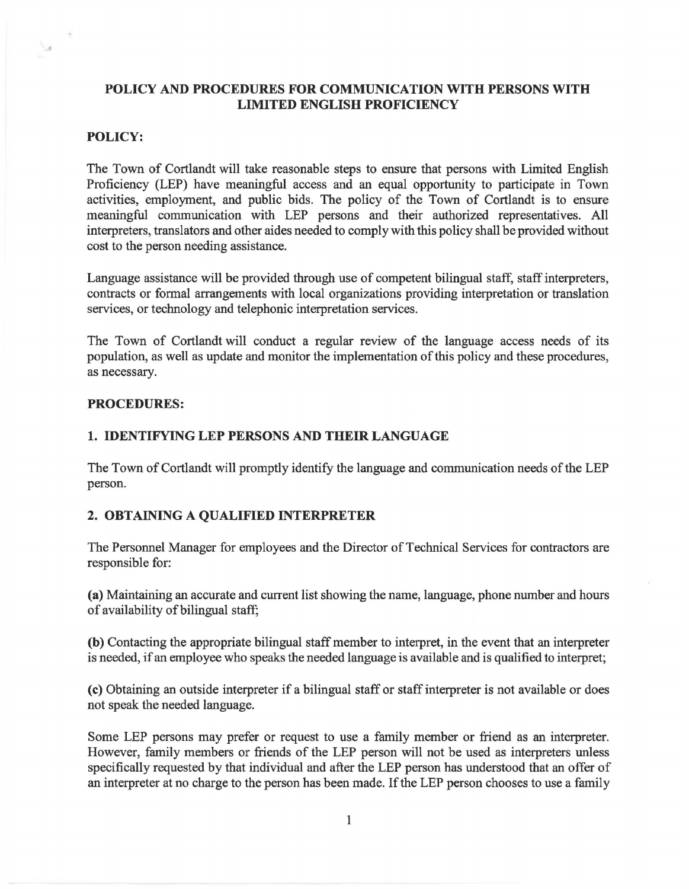# **POLICY AND PROCEDURES FOR COMMUNICATION WITH PERSONS WITH LIMITED ENGLISH PROFICIENCY**

## **POLICY:**

 $\overline{\mathcal{A}}$ 

۱.,

The Town of Cortlandt will take reasonable steps to ensure that persons with Limited English Proficiency (LEP) have meaningful access and an equal opportunity to participate in Town activities, employment, and public bids. The policy of the Town of Cortlandt is to ensure meaningful communication with LEP persons and their authorized representatives. All interpreters, translators and other aides needed to comply with this policy shall be provided without cost to the person needing assistance.

Language assistance will be provided through use of competent bilingual staff, staff interpreters, contracts or formal arrangements with local organizations providing interpretation or translation services, or technology and telephonic interpretation services.

The Town of Cortlandt will conduct a regular review of the language access needs of its population, as well as update and monitor the implementation of this policy and these procedures, as necessary.

## **PROCEDURES:**

## **1. IDENTIFYING LEP PERSONS AND THEIR LANGUAGE**

The Town of Cortlandt will promptly identify the language and communication needs of the LEP person.

## **2. OBTAINING A QUALIFIED INTERPRETER**

The Personnel Manager for employees and the Director of Technical Services for contractors are responsible for:

**(a)** Maintaining an accurate and current list showing the name, language, phone number and hours of availability of bilingual staff;

**(b)** Contacting the appropriate bilingual staff member to interpret, in the event that an interpreter is needed, if an employee who speaks the needed language is available and is qualified to interpret;

( **c)** Obtaining an outside interpreter if a bilingual staff or staff interpreter is not available or does not speak the needed language.

Some LEP persons may prefer or request to use a family member or friend as an interpreter. However, family members or friends of the LEP person will not be used as interpreters unless specifically requested by that individual and after the LEP person has understood that an offer of an interpreter at no charge to the person has been made. If the LEP person chooses to use a family